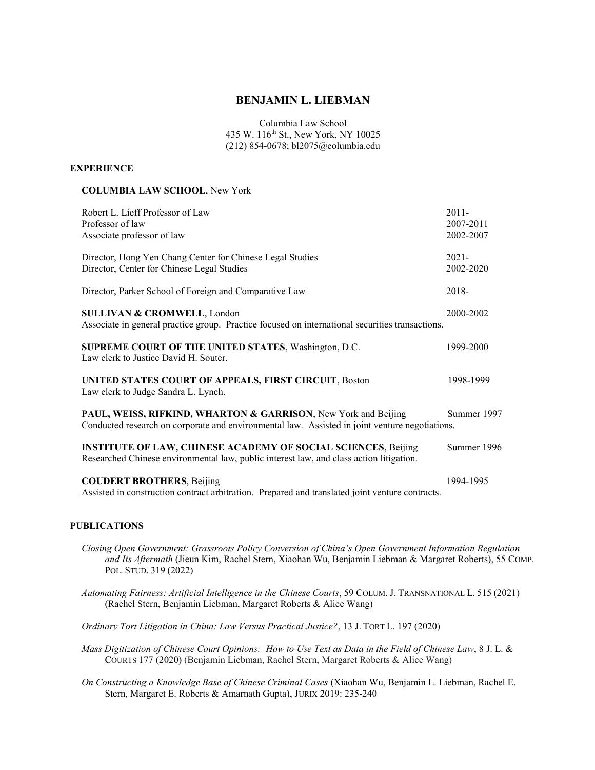# BENJAMIN L. LIEBMAN

Columbia Law School 435 W. 116<sup>th</sup> St., New York, NY 10025 (212) 854-0678; bl2075@columbia.edu

### **EXPERIENCE**

#### COLUMBIA LAW SCHOOL, New York

| Robert L. Lieff Professor of Law<br>Professor of law<br>Associate professor of law                                                                               | $2011 -$<br>2007-2011<br>2002-2007 |
|------------------------------------------------------------------------------------------------------------------------------------------------------------------|------------------------------------|
| Director, Hong Yen Chang Center for Chinese Legal Studies<br>Director, Center for Chinese Legal Studies                                                          | $2021 -$<br>2002-2020              |
| Director, Parker School of Foreign and Comparative Law                                                                                                           | 2018-                              |
| <b>SULLIVAN &amp; CROMWELL, London</b><br>Associate in general practice group. Practice focused on international securities transactions.                        | 2000-2002                          |
| SUPREME COURT OF THE UNITED STATES, Washington, D.C.<br>Law clerk to Justice David H. Souter.                                                                    | 1999-2000                          |
| UNITED STATES COURT OF APPEALS, FIRST CIRCUIT, Boston<br>Law clerk to Judge Sandra L. Lynch.                                                                     | 1998-1999                          |
| PAUL, WEISS, RIFKIND, WHARTON & GARRISON, New York and Beijing<br>Conducted research on corporate and environmental law. Assisted in joint venture negotiations. | Summer 1997                        |
| <b>INSTITUTE OF LAW, CHINESE ACADEMY OF SOCIAL SCIENCES, Beijing</b><br>Researched Chinese environmental law, public interest law, and class action litigation.  | Summer 1996                        |
| <b>COUDERT BROTHERS, Beijing</b><br>Assisted in construction contract arbitration. Prepared and translated joint venture contracts.                              | 1994-1995                          |

### PUBLICATIONS

- Closing Open Government: Grassroots Policy Conversion of China's Open Government Information Regulation and Its Aftermath (Jieun Kim, Rachel Stern, Xiaohan Wu, Benjamin Liebman & Margaret Roberts), 55 COMP. POL. STUD. 319 (2022)
- Automating Fairness: Artificial Intelligence in the Chinese Courts, 59 COLUM. J. TRANSNATIONAL L. 515 (2021) (Rachel Stern, Benjamin Liebman, Margaret Roberts & Alice Wang)
- Ordinary Tort Litigation in China: Law Versus Practical Justice?, 13 J. TORT L. 197 (2020)
- Mass Digitization of Chinese Court Opinions: How to Use Text as Data in the Field of Chinese Law, 8 J. L. & COURTS 177 (2020) (Benjamin Liebman, Rachel Stern, Margaret Roberts & Alice Wang)
- On Constructing a Knowledge Base of Chinese Criminal Cases (Xiaohan Wu, Benjamin L. Liebman, Rachel E. Stern, Margaret E. Roberts & Amarnath Gupta), JURIX 2019: 235-240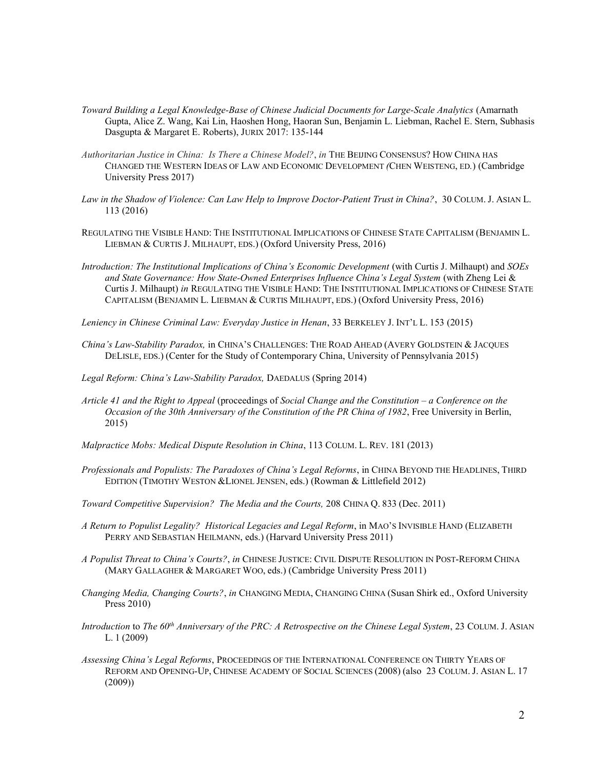- Toward Building a Legal Knowledge-Base of Chinese Judicial Documents for Large-Scale Analytics (Amarnath Gupta, Alice Z. Wang, Kai Lin, Haoshen Hong, Haoran Sun, Benjamin L. Liebman, Rachel E. Stern, Subhasis Dasgupta & Margaret E. Roberts), JURIX 2017: 135-144
- Authoritarian Justice in China: Is There a Chinese Model?, in THE BEIJING CONSENSUS? HOW CHINA HAS CHANGED THE WESTERN IDEAS OF LAW AND ECONOMIC DEVELOPMENT (CHEN WEISTENG, ED.) (Cambridge University Press 2017)
- Law in the Shadow of Violence: Can Law Help to Improve Doctor-Patient Trust in China?, 30 COLUM. J. ASIAN L. 113 (2016)
- REGULATING THE VISIBLE HAND: THE INSTITUTIONAL IMPLICATIONS OF CHINESE STATE CAPITALISM (BENJAMIN L. LIEBMAN & CURTIS J. MILHAUPT, EDS.) (Oxford University Press, 2016)
- Introduction: The Institutional Implications of China's Economic Development (with Curtis J. Milhaupt) and SOEs and State Governance: How State-Owned Enterprises Influence China's Legal System (with Zheng Lei & Curtis J. Milhaupt) in REGULATING THE VISIBLE HAND: THE INSTITUTIONAL IMPLICATIONS OF CHINESE STATE CAPITALISM (BENJAMIN L. LIEBMAN & CURTIS MILHAUPT, EDS.) (Oxford University Press, 2016)

Leniency in Chinese Criminal Law: Everyday Justice in Henan, 33 BERKELEY J. INT'L L. 153 (2015)

- China's Law-Stability Paradox, in CHINA'S CHALLENGES: THE ROAD AHEAD (AVERY GOLDSTEIN & JACQUES DELISLE, EDS.) (Center for the Study of Contemporary China, University of Pennsylvania 2015)
- Legal Reform: China's Law-Stability Paradox, DAEDALUS (Spring 2014)
- Article 41 and the Right to Appeal (proceedings of Social Change and the Constitution a Conference on the Occasion of the 30th Anniversary of the Constitution of the PR China of 1982, Free University in Berlin, 2015)
- Malpractice Mobs: Medical Dispute Resolution in China, 113 COLUM. L. REV. 181 (2013)
- Professionals and Populists: The Paradoxes of China's Legal Reforms, in CHINA BEYOND THE HEADLINES, THIRD EDITION (TIMOTHY WESTON &LIONEL JENSEN, eds.) (Rowman & Littlefield 2012)
- Toward Competitive Supervision? The Media and the Courts, 208 CHINA Q. 833 (Dec. 2011)
- A Return to Populist Legality? Historical Legacies and Legal Reform, in MAO'S INVISIBLE HAND (ELIZABETH PERRY AND SEBASTIAN HEILMANN, eds.) (Harvard University Press 2011)
- A Populist Threat to China's Courts?, in CHINESE JUSTICE: CIVIL DISPUTE RESOLUTION IN POST-REFORM CHINA (MARY GALLAGHER & MARGARET WOO, eds.) (Cambridge University Press 2011)
- Changing Media, Changing Courts?, in CHANGING MEDIA, CHANGING CHINA (Susan Shirk ed., Oxford University Press 2010)
- Introduction to The  $60^{th}$  Anniversary of the PRC: A Retrospective on the Chinese Legal System, 23 COLUM. J. ASIAN L. 1 (2009)
- Assessing China's Legal Reforms, PROCEEDINGS OF THE INTERNATIONAL CONFERENCE ON THIRTY YEARS OF REFORM AND OPENING-UP, CHINESE ACADEMY OF SOCIAL SCIENCES (2008) (also 23 COLUM. J. ASIAN L. 17 (2009))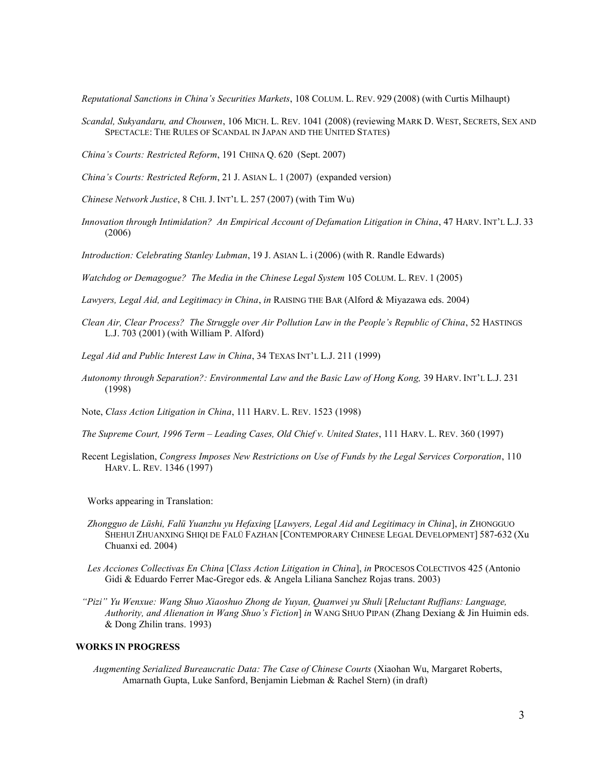Reputational Sanctions in China's Securities Markets, 108 COLUM. L. REV. 929 (2008) (with Curtis Milhaupt)

- Scandal, Sukyandaru, and Chouwen, 106 MICH. L. REV. 1041 (2008) (reviewing MARK D. WEST, SECRETS, SEX AND SPECTACLE: THE RULES OF SCANDAL IN JAPAN AND THE UNITED STATES)
- China's Courts: Restricted Reform, 191 CHINA Q. 620 (Sept. 2007)
- China's Courts: Restricted Reform, 21 J. ASIAN L. 1 (2007) (expanded version)
- Chinese Network Justice, 8 CHI. J. INT'L L. 257 (2007) (with Tim Wu)
- Innovation through Intimidation? An Empirical Account of Defamation Litigation in China, 47 HARV. INT'L L.J. 33 (2006)
- Introduction: Celebrating Stanley Lubman, 19 J. ASIAN L. i (2006) (with R. Randle Edwards)

Watchdog or Demagogue? The Media in the Chinese Legal System 105 COLUM. L. REV. 1 (2005)

- Lawyers, Legal Aid, and Legitimacy in China, in RAISING THE BAR (Alford & Miyazawa eds. 2004)
- Clean Air, Clear Process? The Struggle over Air Pollution Law in the People's Republic of China, 52 HASTINGS L.J. 703 (2001) (with William P. Alford)
- Legal Aid and Public Interest Law in China, 34 TEXAS INT'L L.J. 211 (1999)
- Autonomy through Separation?: Environmental Law and the Basic Law of Hong Kong, 39 HARV. INT'L L.J. 231 (1998)
- Note, Class Action Litigation in China, 111 HARV. L. REV. 1523 (1998)
- The Supreme Court, 1996 Term Leading Cases, Old Chief v. United States, 111 HARV. L. REV. 360 (1997)
- Recent Legislation, Congress Imposes New Restrictions on Use of Funds by the Legal Services Corporation, 110 HARV. L. REV. 1346 (1997)

Works appearing in Translation:

- Zhongguo de Lüshi, Falü Yuanzhu yu Hefaxing [Lawyers, Legal Aid and Legitimacy in China], in ZHONGGUO SHEHUI ZHUANXING SHIQI DE FALÜ FAZHAN [CONTEMPORARY CHINESE LEGAL DEVELOPMENT] 587-632 (Xu Chuanxi ed. 2004)
- Les Acciones Collectivas En China [Class Action Litigation in China], in PROCESOS COLECTIVOS 425 (Antonio Gidi & Eduardo Ferrer Mac-Gregor eds. & Angela Liliana Sanchez Rojas trans. 2003)
- "Pizi" Yu Wenxue: Wang Shuo Xiaoshuo Zhong de Yuyan, Quanwei yu Shuli [Reluctant Ruffians: Language, Authority, and Alienation in Wang Shuo's Fiction] in WANG SHUO PIPAN (Zhang Dexiang & Jin Huimin eds. & Dong Zhilin trans. 1993)

## WORKS IN PROGRESS

Augmenting Serialized Bureaucratic Data: The Case of Chinese Courts (Xiaohan Wu, Margaret Roberts, Amarnath Gupta, Luke Sanford, Benjamin Liebman & Rachel Stern) (in draft)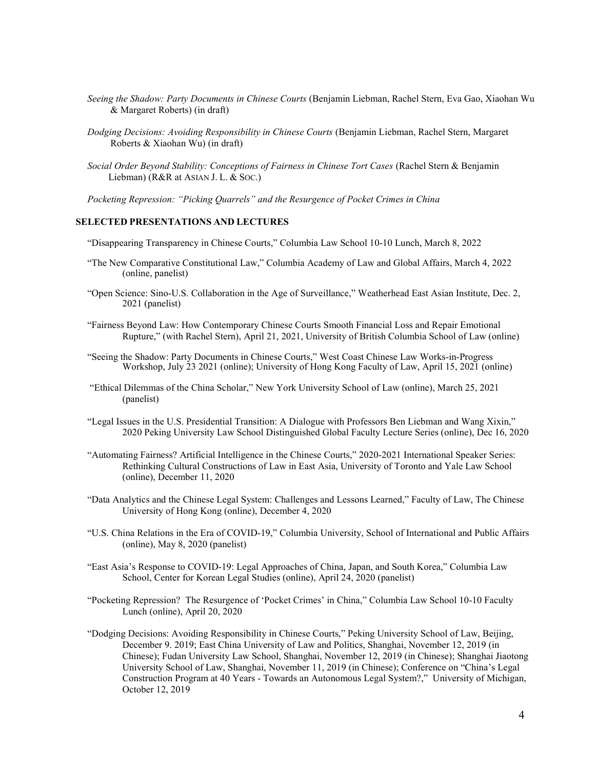- Seeing the Shadow: Party Documents in Chinese Courts (Benjamin Liebman, Rachel Stern, Eva Gao, Xiaohan Wu & Margaret Roberts) (in draft)
- Dodging Decisions: Avoiding Responsibility in Chinese Courts (Benjamin Liebman, Rachel Stern, Margaret Roberts & Xiaohan Wu) (in draft)
- Social Order Beyond Stability: Conceptions of Fairness in Chinese Tort Cases (Rachel Stern & Benjamin Liebman) (R&R at ASIAN J. L. & Soc.)
- Pocketing Repression: "Picking Quarrels" and the Resurgence of Pocket Crimes in China

## SELECTED PRESENTATIONS AND LECTURES

- "Disappearing Transparency in Chinese Courts," Columbia Law School 10-10 Lunch, March 8, 2022
- "The New Comparative Constitutional Law," Columbia Academy of Law and Global Affairs, March 4, 2022 (online, panelist)
- "Open Science: Sino-U.S. Collaboration in the Age of Surveillance," Weatherhead East Asian Institute, Dec. 2, 2021 (panelist)
- "Fairness Beyond Law: How Contemporary Chinese Courts Smooth Financial Loss and Repair Emotional Rupture," (with Rachel Stern), April 21, 2021, University of British Columbia School of Law (online)
- "Seeing the Shadow: Party Documents in Chinese Courts," West Coast Chinese Law Works-in-Progress Workshop, July 23 2021 (online); University of Hong Kong Faculty of Law, April 15, 2021 (online)
- "Ethical Dilemmas of the China Scholar," New York University School of Law (online), March 25, 2021 (panelist)
- "Legal Issues in the U.S. Presidential Transition: A Dialogue with Professors Ben Liebman and Wang Xixin," 2020 Peking University Law School Distinguished Global Faculty Lecture Series (online), Dec 16, 2020
- "Automating Fairness? Artificial Intelligence in the Chinese Courts," 2020-2021 International Speaker Series: Rethinking Cultural Constructions of Law in East Asia, University of Toronto and Yale Law School (online), December 11, 2020
- "Data Analytics and the Chinese Legal System: Challenges and Lessons Learned," Faculty of Law, The Chinese University of Hong Kong (online), December 4, 2020
- "U.S. China Relations in the Era of COVID-19," Columbia University, School of International and Public Affairs (online), May 8, 2020 (panelist)
- "East Asia's Response to COVID-19: Legal Approaches of China, Japan, and South Korea," Columbia Law School, Center for Korean Legal Studies (online), April 24, 2020 (panelist)
- "Pocketing Repression? The Resurgence of 'Pocket Crimes' in China," Columbia Law School 10-10 Faculty Lunch (online), April 20, 2020
- "Dodging Decisions: Avoiding Responsibility in Chinese Courts," Peking University School of Law, Beijing, December 9. 2019; East China University of Law and Politics, Shanghai, November 12, 2019 (in Chinese); Fudan University Law School, Shanghai, November 12, 2019 (in Chinese); Shanghai Jiaotong University School of Law, Shanghai, November 11, 2019 (in Chinese); Conference on "China's Legal Construction Program at 40 Years - Towards an Autonomous Legal System?," University of Michigan, October 12, 2019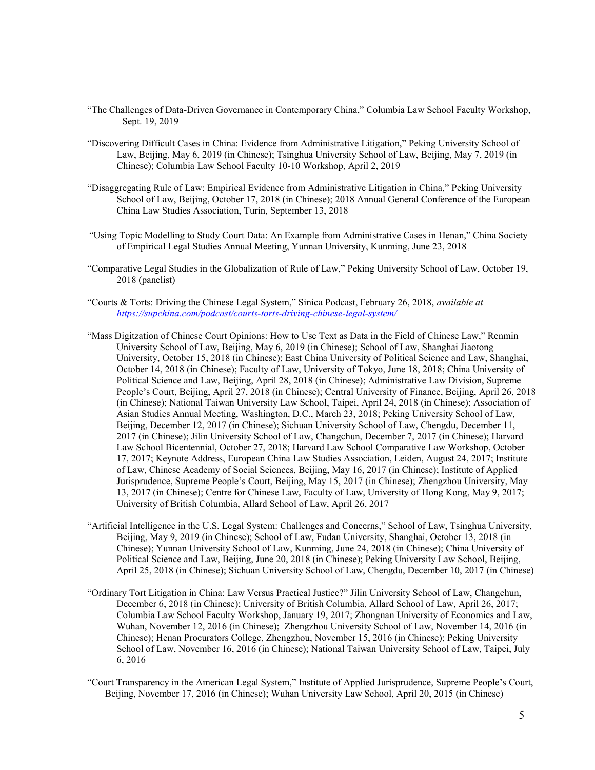- "The Challenges of Data-Driven Governance in Contemporary China," Columbia Law School Faculty Workshop, Sept. 19, 2019
- "Discovering Difficult Cases in China: Evidence from Administrative Litigation," Peking University School of Law, Beijing, May 6, 2019 (in Chinese); Tsinghua University School of Law, Beijing, May 7, 2019 (in Chinese); Columbia Law School Faculty 10-10 Workshop, April 2, 2019
- "Disaggregating Rule of Law: Empirical Evidence from Administrative Litigation in China," Peking University School of Law, Beijing, October 17, 2018 (in Chinese); 2018 Annual General Conference of the European China Law Studies Association, Turin, September 13, 2018
- "Using Topic Modelling to Study Court Data: An Example from Administrative Cases in Henan," China Society of Empirical Legal Studies Annual Meeting, Yunnan University, Kunming, June 23, 2018
- "Comparative Legal Studies in the Globalization of Rule of Law," Peking University School of Law, October 19, 2018 (panelist)
- "Courts & Torts: Driving the Chinese Legal System," Sinica Podcast, February 26, 2018, *available at* https://supchina.com/podcast/courts-torts-driving-chinese-legal-system/
- "Mass Digitzation of Chinese Court Opinions: How to Use Text as Data in the Field of Chinese Law," Renmin University School of Law, Beijing, May 6, 2019 (in Chinese); School of Law, Shanghai Jiaotong University, October 15, 2018 (in Chinese); East China University of Political Science and Law, Shanghai, October 14, 2018 (in Chinese); Faculty of Law, University of Tokyo, June 18, 2018; China University of Political Science and Law, Beijing, April 28, 2018 (in Chinese); Administrative Law Division, Supreme People's Court, Beijing, April 27, 2018 (in Chinese); Central University of Finance, Beijing, April 26, 2018 (in Chinese); National Taiwan University Law School, Taipei, April 24, 2018 (in Chinese); Association of Asian Studies Annual Meeting, Washington, D.C., March 23, 2018; Peking University School of Law, Beijing, December 12, 2017 (in Chinese); Sichuan University School of Law, Chengdu, December 11, 2017 (in Chinese); Jilin University School of Law, Changchun, December 7, 2017 (in Chinese); Harvard Law School Bicentennial, October 27, 2018; Harvard Law School Comparative Law Workshop, October 17, 2017; Keynote Address, European China Law Studies Association, Leiden, August 24, 2017; Institute of Law, Chinese Academy of Social Sciences, Beijing, May 16, 2017 (in Chinese); Institute of Applied Jurisprudence, Supreme People's Court, Beijing, May 15, 2017 (in Chinese); Zhengzhou University, May 13, 2017 (in Chinese); Centre for Chinese Law, Faculty of Law, University of Hong Kong, May 9, 2017; University of British Columbia, Allard School of Law, April 26, 2017
- "Artificial Intelligence in the U.S. Legal System: Challenges and Concerns," School of Law, Tsinghua University, Beijing, May 9, 2019 (in Chinese); School of Law, Fudan University, Shanghai, October 13, 2018 (in Chinese); Yunnan University School of Law, Kunming, June 24, 2018 (in Chinese); China University of Political Science and Law, Beijing, June 20, 2018 (in Chinese); Peking University Law School, Beijing, April 25, 2018 (in Chinese); Sichuan University School of Law, Chengdu, December 10, 2017 (in Chinese)
- "Ordinary Tort Litigation in China: Law Versus Practical Justice?" Jilin University School of Law, Changchun, December 6, 2018 (in Chinese); University of British Columbia, Allard School of Law, April 26, 2017; Columbia Law School Faculty Workshop, January 19, 2017; Zhongnan University of Economics and Law, Wuhan, November 12, 2016 (in Chinese); Zhengzhou University School of Law, November 14, 2016 (in Chinese); Henan Procurators College, Zhengzhou, November 15, 2016 (in Chinese); Peking University School of Law, November 16, 2016 (in Chinese); National Taiwan University School of Law, Taipei, July 6, 2016
- "Court Transparency in the American Legal System," Institute of Applied Jurisprudence, Supreme People's Court, Beijing, November 17, 2016 (in Chinese); Wuhan University Law School, April 20, 2015 (in Chinese)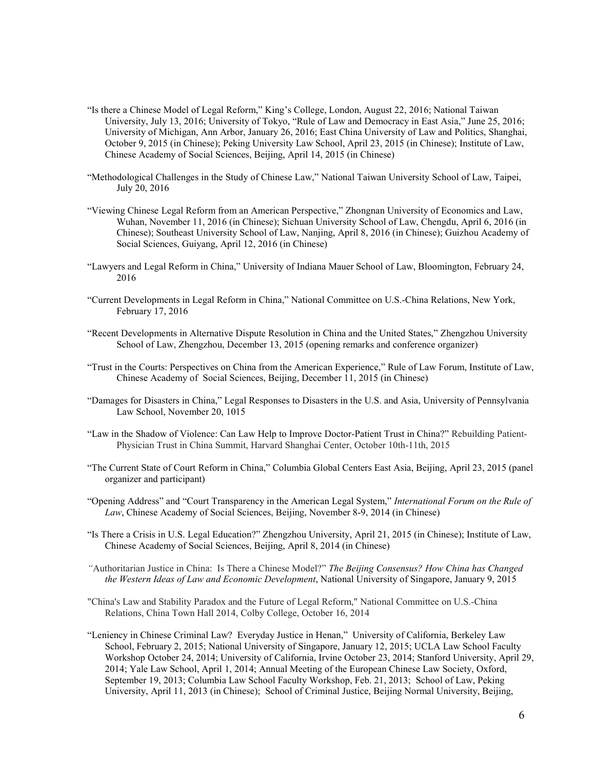- "Is there a Chinese Model of Legal Reform," King's College, London, August 22, 2016; National Taiwan University, July 13, 2016; University of Tokyo, "Rule of Law and Democracy in East Asia," June 25, 2016; University of Michigan, Ann Arbor, January 26, 2016; East China University of Law and Politics, Shanghai, October 9, 2015 (in Chinese); Peking University Law School, April 23, 2015 (in Chinese); Institute of Law, Chinese Academy of Social Sciences, Beijing, April 14, 2015 (in Chinese)
- "Methodological Challenges in the Study of Chinese Law," National Taiwan University School of Law, Taipei, July 20, 2016
- "Viewing Chinese Legal Reform from an American Perspective," Zhongnan University of Economics and Law, Wuhan, November 11, 2016 (in Chinese); Sichuan University School of Law, Chengdu, April 6, 2016 (in Chinese); Southeast University School of Law, Nanjing, April 8, 2016 (in Chinese); Guizhou Academy of Social Sciences, Guiyang, April 12, 2016 (in Chinese)
- "Lawyers and Legal Reform in China," University of Indiana Mauer School of Law, Bloomington, February 24, 2016
- "Current Developments in Legal Reform in China," National Committee on U.S.-China Relations, New York, February 17, 2016
- "Recent Developments in Alternative Dispute Resolution in China and the United States," Zhengzhou University School of Law, Zhengzhou, December 13, 2015 (opening remarks and conference organizer)
- "Trust in the Courts: Perspectives on China from the American Experience," Rule of Law Forum, Institute of Law, Chinese Academy of Social Sciences, Beijing, December 11, 2015 (in Chinese)
- "Damages for Disasters in China," Legal Responses to Disasters in the U.S. and Asia, University of Pennsylvania Law School, November 20, 1015
- "Law in the Shadow of Violence: Can Law Help to Improve Doctor-Patient Trust in China?" Rebuilding Patient-Physician Trust in China Summit, Harvard Shanghai Center, October 10th-11th, 2015
- "The Current State of Court Reform in China," Columbia Global Centers East Asia, Beijing, April 23, 2015 (panel organizer and participant)
- "Opening Address" and "Court Transparency in the American Legal System," International Forum on the Rule of Law, Chinese Academy of Social Sciences, Beijing, November 8-9, 2014 (in Chinese)
- "Is There a Crisis in U.S. Legal Education?" Zhengzhou University, April 21, 2015 (in Chinese); Institute of Law, Chinese Academy of Social Sciences, Beijing, April 8, 2014 (in Chinese)
- "Authoritarian Justice in China: Is There a Chinese Model?" The Beijing Consensus? How China has Changed the Western Ideas of Law and Economic Development, National University of Singapore, January 9, 2015
- "China's Law and Stability Paradox and the Future of Legal Reform," National Committee on U.S.-China Relations, China Town Hall 2014, Colby College, October 16, 2014
- "Leniency in Chinese Criminal Law? Everyday Justice in Henan," University of California, Berkeley Law School, February 2, 2015; National University of Singapore, January 12, 2015; UCLA Law School Faculty Workshop October 24, 2014; University of California, Irvine October 23, 2014; Stanford University, April 29, 2014; Yale Law School, April 1, 2014; Annual Meeting of the European Chinese Law Society, Oxford, September 19, 2013; Columbia Law School Faculty Workshop, Feb. 21, 2013; School of Law, Peking University, April 11, 2013 (in Chinese); School of Criminal Justice, Beijing Normal University, Beijing,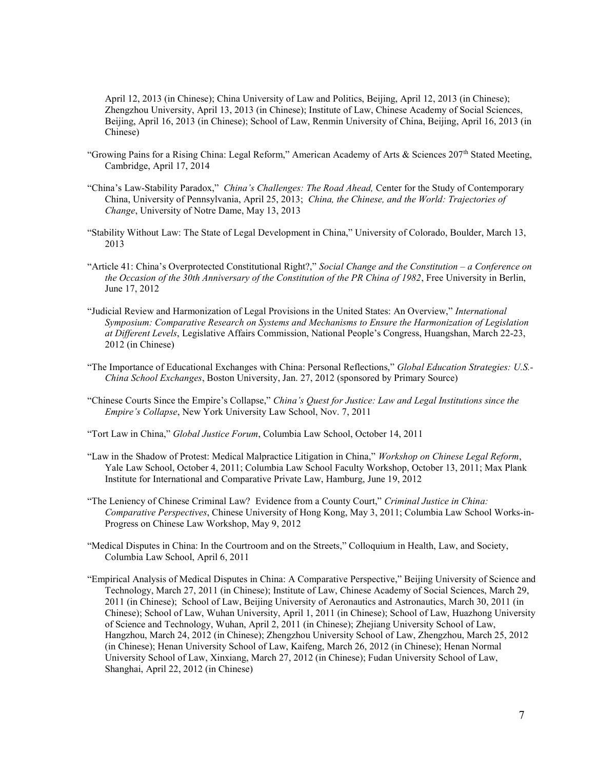April 12, 2013 (in Chinese); China University of Law and Politics, Beijing, April 12, 2013 (in Chinese); Zhengzhou University, April 13, 2013 (in Chinese); Institute of Law, Chinese Academy of Social Sciences, Beijing, April 16, 2013 (in Chinese); School of Law, Renmin University of China, Beijing, April 16, 2013 (in Chinese)

- "Growing Pains for a Rising China: Legal Reform," American Academy of Arts & Sciences 207<sup>th</sup> Stated Meeting, Cambridge, April 17, 2014
- "China's Law-Stability Paradox," China's Challenges: The Road Ahead, Center for the Study of Contemporary China, University of Pennsylvania, April 25, 2013; China, the Chinese, and the World: Trajectories of Change, University of Notre Dame, May 13, 2013
- "Stability Without Law: The State of Legal Development in China," University of Colorado, Boulder, March 13, 2013
- "Article 41: China's Overprotected Constitutional Right?," Social Change and the Constitution a Conference on the Occasion of the 30th Anniversary of the Constitution of the PR China of 1982, Free University in Berlin, June 17, 2012
- "Judicial Review and Harmonization of Legal Provisions in the United States: An Overview," International Symposium: Comparative Research on Systems and Mechanisms to Ensure the Harmonization of Legislation at Different Levels, Legislative Affairs Commission, National People's Congress, Huangshan, March 22-23, 2012 (in Chinese)
- "The Importance of Educational Exchanges with China: Personal Reflections," Global Education Strategies: U.S.- China School Exchanges, Boston University, Jan. 27, 2012 (sponsored by Primary Source)
- "Chinese Courts Since the Empire's Collapse," China's Quest for Justice: Law and Legal Institutions since the Empire's Collapse, New York University Law School, Nov. 7, 2011
- "Tort Law in China," Global Justice Forum, Columbia Law School, October 14, 2011
- "Law in the Shadow of Protest: Medical Malpractice Litigation in China," Workshop on Chinese Legal Reform, Yale Law School, October 4, 2011; Columbia Law School Faculty Workshop, October 13, 2011; Max Plank Institute for International and Comparative Private Law, Hamburg, June 19, 2012
- "The Leniency of Chinese Criminal Law? Evidence from a County Court," Criminal Justice in China: Comparative Perspectives, Chinese University of Hong Kong, May 3, 2011; Columbia Law School Works-in-Progress on Chinese Law Workshop, May 9, 2012
- "Medical Disputes in China: In the Courtroom and on the Streets," Colloquium in Health, Law, and Society, Columbia Law School, April 6, 2011
- "Empirical Analysis of Medical Disputes in China: A Comparative Perspective," Beijing University of Science and Technology, March 27, 2011 (in Chinese); Institute of Law, Chinese Academy of Social Sciences, March 29, 2011 (in Chinese); School of Law, Beijing University of Aeronautics and Astronautics, March 30, 2011 (in Chinese); School of Law, Wuhan University, April 1, 2011 (in Chinese); School of Law, Huazhong University of Science and Technology, Wuhan, April 2, 2011 (in Chinese); Zhejiang University School of Law, Hangzhou, March 24, 2012 (in Chinese); Zhengzhou University School of Law, Zhengzhou, March 25, 2012 (in Chinese); Henan University School of Law, Kaifeng, March 26, 2012 (in Chinese); Henan Normal University School of Law, Xinxiang, March 27, 2012 (in Chinese); Fudan University School of Law, Shanghai, April 22, 2012 (in Chinese)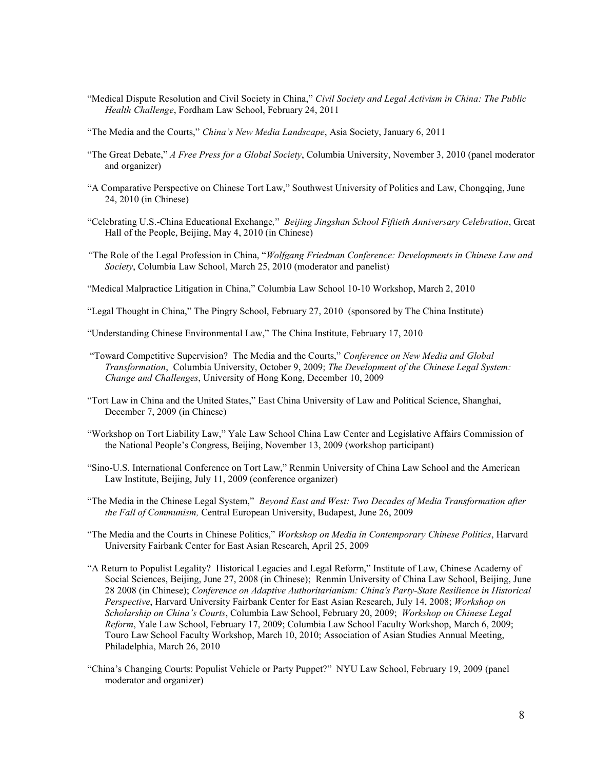- "Medical Dispute Resolution and Civil Society in China," Civil Society and Legal Activism in China: The Public Health Challenge, Fordham Law School, February 24, 2011
- "The Media and the Courts," China's New Media Landscape, Asia Society, January 6, 2011
- "The Great Debate," A Free Press for a Global Society, Columbia University, November 3, 2010 (panel moderator and organizer)
- "A Comparative Perspective on Chinese Tort Law," Southwest University of Politics and Law, Chongqing, June 24, 2010 (in Chinese)
- "Celebrating U.S.-China Educational Exchange," Beijing Jingshan School Fiftieth Anniversary Celebration, Great Hall of the People, Beijing, May 4, 2010 (in Chinese)
- "The Role of the Legal Profession in China, "Wolfgang Friedman Conference: Developments in Chinese Law and Society, Columbia Law School, March 25, 2010 (moderator and panelist)

"Medical Malpractice Litigation in China," Columbia Law School 10-10 Workshop, March 2, 2010

- "Legal Thought in China," The Pingry School, February 27, 2010 (sponsored by The China Institute)
- "Understanding Chinese Environmental Law," The China Institute, February 17, 2010
- "Toward Competitive Supervision? The Media and the Courts," Conference on New Media and Global Transformation, Columbia University, October 9, 2009; The Development of the Chinese Legal System: Change and Challenges, University of Hong Kong, December 10, 2009
- "Tort Law in China and the United States," East China University of Law and Political Science, Shanghai, December 7, 2009 (in Chinese)
- "Workshop on Tort Liability Law," Yale Law School China Law Center and Legislative Affairs Commission of the National People's Congress, Beijing, November 13, 2009 (workshop participant)
- "Sino-U.S. International Conference on Tort Law," Renmin University of China Law School and the American Law Institute, Beijing, July 11, 2009 (conference organizer)
- "The Media in the Chinese Legal System," Beyond East and West: Two Decades of Media Transformation after the Fall of Communism, Central European University, Budapest, June 26, 2009
- "The Media and the Courts in Chinese Politics," Workshop on Media in Contemporary Chinese Politics, Harvard University Fairbank Center for East Asian Research, April 25, 2009
- "A Return to Populist Legality? Historical Legacies and Legal Reform," Institute of Law, Chinese Academy of Social Sciences, Beijing, June 27, 2008 (in Chinese); Renmin University of China Law School, Beijing, June 28 2008 (in Chinese); Conference on Adaptive Authoritarianism: China's Party-State Resilience in Historical Perspective, Harvard University Fairbank Center for East Asian Research, July 14, 2008; Workshop on Scholarship on China's Courts, Columbia Law School, February 20, 2009; Workshop on Chinese Legal Reform, Yale Law School, February 17, 2009; Columbia Law School Faculty Workshop, March 6, 2009; Touro Law School Faculty Workshop, March 10, 2010; Association of Asian Studies Annual Meeting, Philadelphia, March 26, 2010
- "China's Changing Courts: Populist Vehicle or Party Puppet?" NYU Law School, February 19, 2009 (panel moderator and organizer)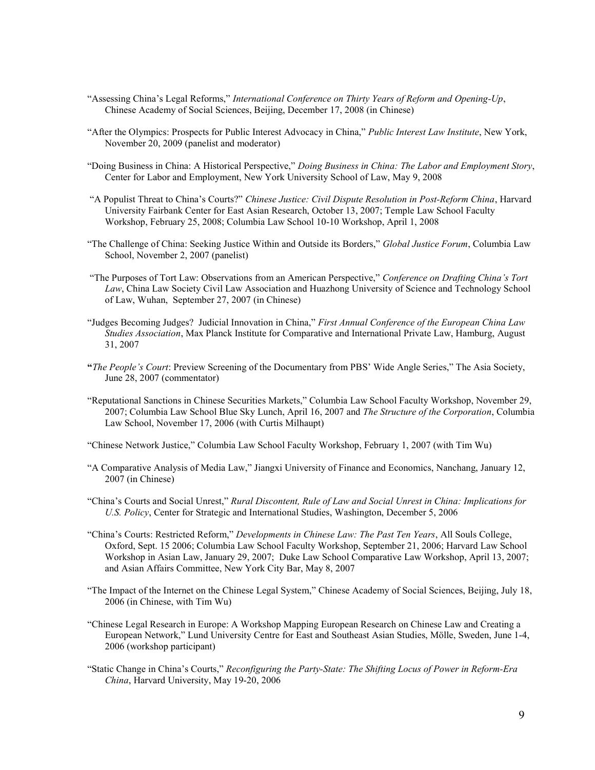- "Assessing China's Legal Reforms," International Conference on Thirty Years of Reform and Opening-Up, Chinese Academy of Social Sciences, Beijing, December 17, 2008 (in Chinese)
- "After the Olympics: Prospects for Public Interest Advocacy in China," Public Interest Law Institute, New York, November 20, 2009 (panelist and moderator)
- "Doing Business in China: A Historical Perspective," Doing Business in China: The Labor and Employment Story, Center for Labor and Employment, New York University School of Law, May 9, 2008
- "A Populist Threat to China's Courts?" Chinese Justice: Civil Dispute Resolution in Post-Reform China, Harvard University Fairbank Center for East Asian Research, October 13, 2007; Temple Law School Faculty Workshop, February 25, 2008; Columbia Law School 10-10 Workshop, April 1, 2008
- "The Challenge of China: Seeking Justice Within and Outside its Borders," Global Justice Forum, Columbia Law School, November 2, 2007 (panelist)
- "The Purposes of Tort Law: Observations from an American Perspective," Conference on Drafting China's Tort Law, China Law Society Civil Law Association and Huazhong University of Science and Technology School of Law, Wuhan, September 27, 2007 (in Chinese)
- "Judges Becoming Judges? Judicial Innovation in China," First Annual Conference of the European China Law Studies Association, Max Planck Institute for Comparative and International Private Law, Hamburg, August 31, 2007
- "The People's Court: Preview Screening of the Documentary from PBS' Wide Angle Series," The Asia Society, June 28, 2007 (commentator)
- "Reputational Sanctions in Chinese Securities Markets," Columbia Law School Faculty Workshop, November 29, 2007; Columbia Law School Blue Sky Lunch, April 16, 2007 and The Structure of the Corporation, Columbia Law School, November 17, 2006 (with Curtis Milhaupt)

"Chinese Network Justice," Columbia Law School Faculty Workshop, February 1, 2007 (with Tim Wu)

- "A Comparative Analysis of Media Law," Jiangxi University of Finance and Economics, Nanchang, January 12, 2007 (in Chinese)
- "China's Courts and Social Unrest," Rural Discontent, Rule of Law and Social Unrest in China: Implications for U.S. Policy, Center for Strategic and International Studies, Washington, December 5, 2006
- "China's Courts: Restricted Reform," Developments in Chinese Law: The Past Ten Years, All Souls College, Oxford, Sept. 15 2006; Columbia Law School Faculty Workshop, September 21, 2006; Harvard Law School Workshop in Asian Law, January 29, 2007; Duke Law School Comparative Law Workshop, April 13, 2007; and Asian Affairs Committee, New York City Bar, May 8, 2007
- "The Impact of the Internet on the Chinese Legal System," Chinese Academy of Social Sciences, Beijing, July 18, 2006 (in Chinese, with Tim Wu)
- "Chinese Legal Research in Europe: A Workshop Mapping European Research on Chinese Law and Creating a European Network," Lund University Centre for East and Southeast Asian Studies, Mölle, Sweden, June 1-4, 2006 (workshop participant)
- "Static Change in China's Courts," Reconfiguring the Party-State: The Shifting Locus of Power in Reform-Era China, Harvard University, May 19-20, 2006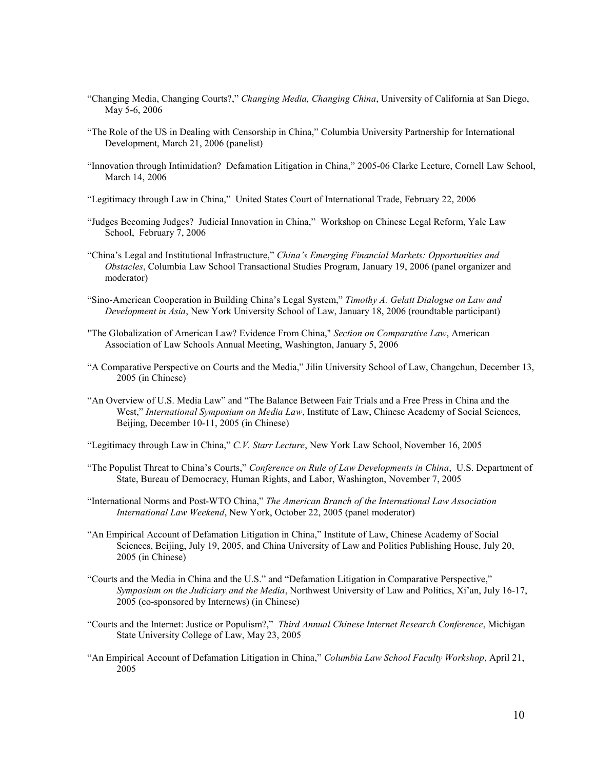- "Changing Media, Changing Courts?," Changing Media, Changing China, University of California at San Diego, May 5-6, 2006
- "The Role of the US in Dealing with Censorship in China," Columbia University Partnership for International Development, March 21, 2006 (panelist)
- "Innovation through Intimidation? Defamation Litigation in China," 2005-06 Clarke Lecture, Cornell Law School, March 14, 2006
- "Legitimacy through Law in China," United States Court of International Trade, February 22, 2006
- "Judges Becoming Judges? Judicial Innovation in China," Workshop on Chinese Legal Reform, Yale Law School, February 7, 2006
- "China's Legal and Institutional Infrastructure," China's Emerging Financial Markets: Opportunities and Obstacles, Columbia Law School Transactional Studies Program, January 19, 2006 (panel organizer and moderator)
- "Sino-American Cooperation in Building China's Legal System," Timothy A. Gelatt Dialogue on Law and Development in Asia, New York University School of Law, January 18, 2006 (roundtable participant)
- "The Globalization of American Law? Evidence From China," Section on Comparative Law, American Association of Law Schools Annual Meeting, Washington, January 5, 2006
- "A Comparative Perspective on Courts and the Media," Jilin University School of Law, Changchun, December 13, 2005 (in Chinese)
- "An Overview of U.S. Media Law" and "The Balance Between Fair Trials and a Free Press in China and the West," International Symposium on Media Law, Institute of Law, Chinese Academy of Social Sciences, Beijing, December 10-11, 2005 (in Chinese)

"Legitimacy through Law in China," C.V. Starr Lecture, New York Law School, November 16, 2005

- "The Populist Threat to China's Courts," Conference on Rule of Law Developments in China, U.S. Department of State, Bureau of Democracy, Human Rights, and Labor, Washington, November 7, 2005
- "International Norms and Post-WTO China," The American Branch of the International Law Association International Law Weekend, New York, October 22, 2005 (panel moderator)
- "An Empirical Account of Defamation Litigation in China," Institute of Law, Chinese Academy of Social Sciences, Beijing, July 19, 2005, and China University of Law and Politics Publishing House, July 20, 2005 (in Chinese)
- "Courts and the Media in China and the U.S." and "Defamation Litigation in Comparative Perspective," Symposium on the Judiciary and the Media, Northwest University of Law and Politics, Xi'an, July 16-17, 2005 (co-sponsored by Internews) (in Chinese)
- "Courts and the Internet: Justice or Populism?," Third Annual Chinese Internet Research Conference, Michigan State University College of Law, May 23, 2005
- "An Empirical Account of Defamation Litigation in China," Columbia Law School Faculty Workshop, April 21, 2005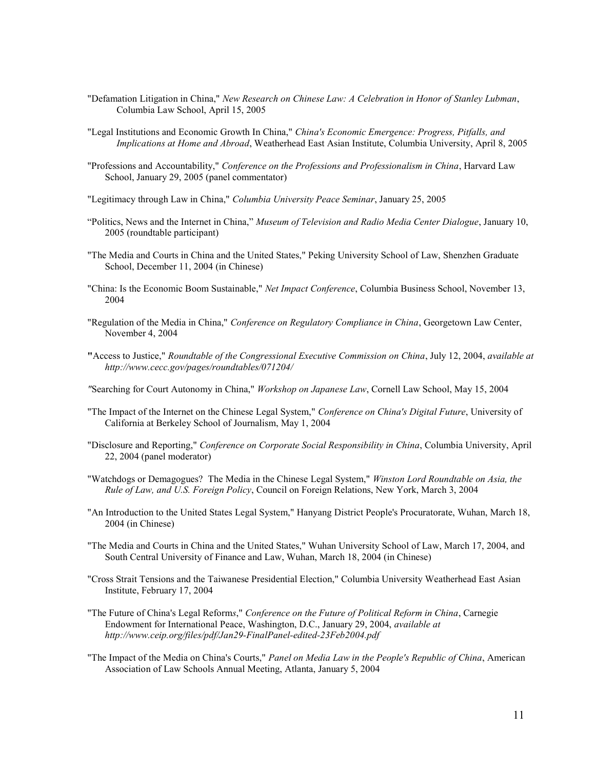- "Defamation Litigation in China," New Research on Chinese Law: A Celebration in Honor of Stanley Lubman, Columbia Law School, April 15, 2005
- "Legal Institutions and Economic Growth In China," China's Economic Emergence: Progress, Pitfalls, and Implications at Home and Abroad, Weatherhead East Asian Institute, Columbia University, April 8, 2005
- "Professions and Accountability," Conference on the Professions and Professionalism in China, Harvard Law School, January 29, 2005 (panel commentator)
- "Legitimacy through Law in China," Columbia University Peace Seminar, January 25, 2005
- "Politics, News and the Internet in China," Museum of Television and Radio Media Center Dialogue, January 10, 2005 (roundtable participant)
- "The Media and Courts in China and the United States," Peking University School of Law, Shenzhen Graduate School, December 11, 2004 (in Chinese)
- "China: Is the Economic Boom Sustainable," Net Impact Conference, Columbia Business School, November 13, 2004
- "Regulation of the Media in China," Conference on Regulatory Compliance in China, Georgetown Law Center, November 4, 2004
- "Access to Justice," Roundtable of the Congressional Executive Commission on China, July 12, 2004, available at http://www.cecc.gov/pages/roundtables/071204/
- "Searching for Court Autonomy in China," Workshop on Japanese Law, Cornell Law School, May 15, 2004
- "The Impact of the Internet on the Chinese Legal System," Conference on China's Digital Future, University of California at Berkeley School of Journalism, May 1, 2004
- "Disclosure and Reporting," Conference on Corporate Social Responsibility in China, Columbia University, April 22, 2004 (panel moderator)
- "Watchdogs or Demagogues? The Media in the Chinese Legal System," Winston Lord Roundtable on Asia, the Rule of Law, and U.S. Foreign Policy, Council on Foreign Relations, New York, March 3, 2004
- "An Introduction to the United States Legal System," Hanyang District People's Procuratorate, Wuhan, March 18, 2004 (in Chinese)
- "The Media and Courts in China and the United States," Wuhan University School of Law, March 17, 2004, and South Central University of Finance and Law, Wuhan, March 18, 2004 (in Chinese)
- "Cross Strait Tensions and the Taiwanese Presidential Election," Columbia University Weatherhead East Asian Institute, February 17, 2004
- "The Future of China's Legal Reforms," Conference on the Future of Political Reform in China, Carnegie Endowment for International Peace, Washington, D.C., January 29, 2004, available at http://www.ceip.org/files/pdf/Jan29-FinalPanel-edited-23Feb2004.pdf
- "The Impact of the Media on China's Courts," Panel on Media Law in the People's Republic of China, American Association of Law Schools Annual Meeting, Atlanta, January 5, 2004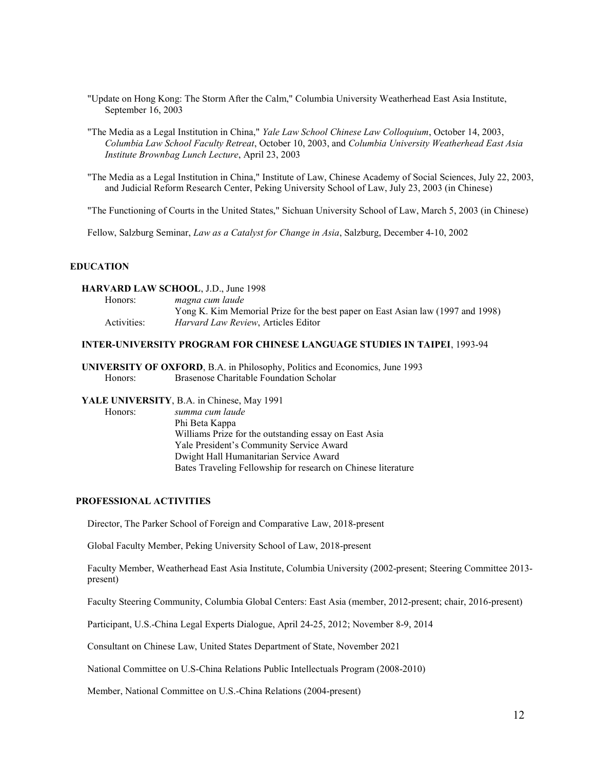- "Update on Hong Kong: The Storm After the Calm," Columbia University Weatherhead East Asia Institute, September 16, 2003
- "The Media as a Legal Institution in China," Yale Law School Chinese Law Colloquium, October 14, 2003, Columbia Law School Faculty Retreat, October 10, 2003, and Columbia University Weatherhead East Asia Institute Brownbag Lunch Lecture, April 23, 2003
- "The Media as a Legal Institution in China," Institute of Law, Chinese Academy of Social Sciences, July 22, 2003, and Judicial Reform Research Center, Peking University School of Law, July 23, 2003 (in Chinese)

"The Functioning of Courts in the United States," Sichuan University School of Law, March 5, 2003 (in Chinese)

Fellow, Salzburg Seminar, *Law as a Catalyst for Change in Asia*, Salzburg, December 4-10, 2002

### EDUCATION

#### HARVARD LAW SCHOOL, J.D., June 1998

| Honors:     | magna cum laude                                                                 |
|-------------|---------------------------------------------------------------------------------|
|             | Yong K. Kim Memorial Prize for the best paper on East Asian law (1997 and 1998) |
| Activities: | <i>Harvard Law Review, Articles Editor</i>                                      |

#### INTER-UNIVERSITY PROGRAM FOR CHINESE LANGUAGE STUDIES IN TAIPEI, 1993-94

UNIVERSITY OF OXFORD, B.A. in Philosophy, Politics and Economics, June 1993 Honors: Brasenose Charitable Foundation Scholar

# YALE UNIVERSITY, B.A. in Chinese, May 1991

 Honors: summa cum laude Phi Beta Kappa Williams Prize for the outstanding essay on East Asia Yale President's Community Service Award Dwight Hall Humanitarian Service Award Bates Traveling Fellowship for research on Chinese literature

#### PROFESSIONAL ACTIVITIES

Director, The Parker School of Foreign and Comparative Law, 2018-present

Global Faculty Member, Peking University School of Law, 2018-present

Faculty Member, Weatherhead East Asia Institute, Columbia University (2002-present; Steering Committee 2013 present)

Faculty Steering Community, Columbia Global Centers: East Asia (member, 2012-present; chair, 2016-present)

Participant, U.S.-China Legal Experts Dialogue, April 24-25, 2012; November 8-9, 2014

Consultant on Chinese Law, United States Department of State, November 2021

National Committee on U.S-China Relations Public Intellectuals Program (2008-2010)

Member, National Committee on U.S.-China Relations (2004-present)